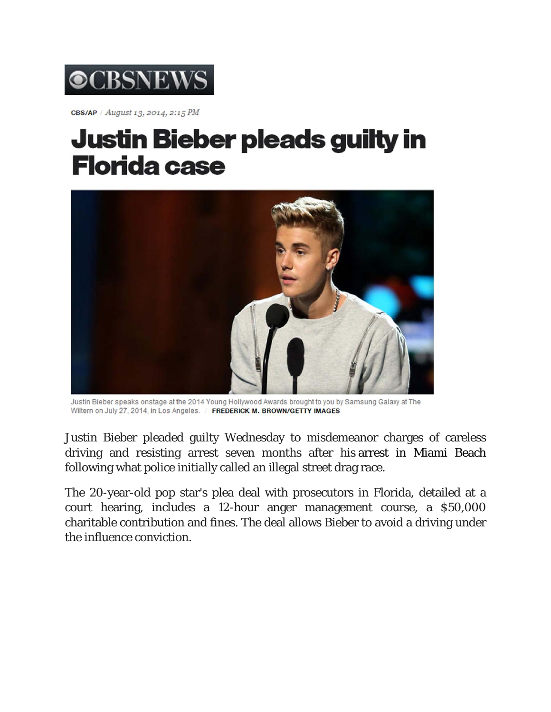

CBS/AP / August 13, 2014, 2:15 PM

## **Justin Bieber pleads guilty in Florida case**



Justin Bieber speaks onstage at the 2014 Young Hollywood Awards brought to you by Samsung Galaxy at The Wiltern on July 27, 2014, in Los Angeles. / FREDERICK M. BROWN/GETTY IMAGES

Justin Bieber pleaded guilty Wednesday to misdemeanor charges of careless driving and resisting arrest seven months after his arrest in Miami Beach following what police initially called an illegal street drag race.

The 20-year-old pop star's plea deal with prosecutors in Florida, detailed at a court hearing, includes a 12-hour anger management course, a \$50,000 charitable contribution and fines. The deal allows Bieber to avoid a driving under the influence conviction.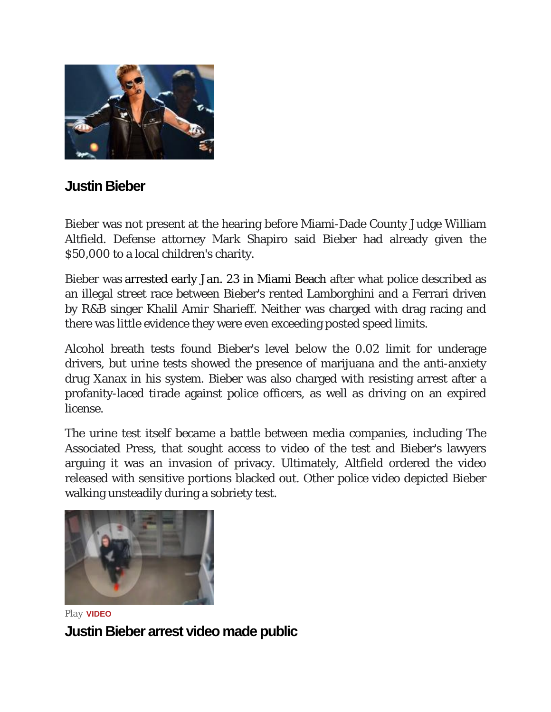

## **Justin Bieber**

Bieber was not present at the hearing before Miami-Dade County Judge William Altfield. Defense attorney Mark Shapiro said Bieber had already given the \$50,000 to a local children's charity.

Bieber was arrested early Jan. 23 in Miami Beach after what police described as an illegal street race between Bieber's rented Lamborghini and a Ferrari driven by R&B singer Khalil Amir Sharieff. Neither was charged with drag racing and there was little evidence they were even exceeding posted speed limits.

Alcohol breath tests found Bieber's level below the 0.02 limit for underage drivers, but urine tests showed the presence of marijuana and the anti-anxiety drug Xanax in his system. Bieber was also charged with resisting arrest after a profanity-laced tirade against police officers, as well as driving on an expired license.

The urine test itself became a battle between media companies, including The Associated Press, that sought access to video of the test and Bieber's lawyers arguing it was an invasion of privacy. Ultimately, Altfield ordered the video released with sensitive portions blacked out. Other police video depicted Bieber walking unsteadily during a sobriety test.



*Play* **VIDEO Justin Bieber arrest video made public**